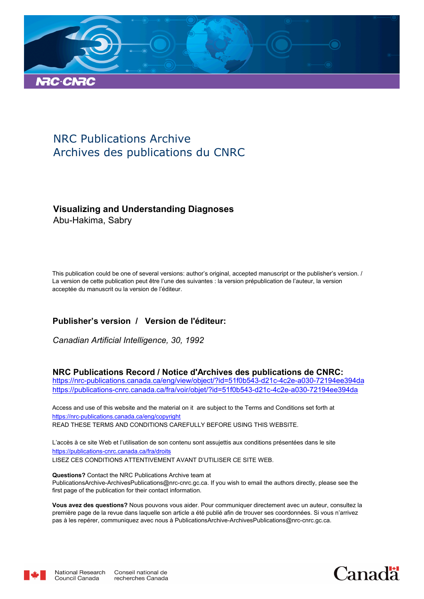

# NRC Publications Archive Archives des publications du CNRC

## **Visualizing and Understanding Diagnoses**

Abu-Hakima, Sabry

This publication could be one of several versions: author's original, accepted manuscript or the publisher's version. / La version de cette publication peut être l'une des suivantes : la version prépublication de l'auteur, la version acceptée du manuscrit ou la version de l'éditeur.

## **Publisher's version / Version de l'éditeur:**

*Canadian Artificial Intelligence, 30, 1992*

### **NRC Publications Record / Notice d'Archives des publications de CNRC:**

https://nrc-publications.canada.ca/eng/view/object/?id=51f0b543-d21c-4c2e-a030-72194ee394da https://publications-cnrc.canada.ca/fra/voir/objet/?id=51f0b543-d21c-4c2e-a030-72194ee394da

READ THESE TERMS AND CONDITIONS CAREFULLY BEFORE USING THIS WEBSITE. https://nrc-publications.canada.ca/eng/copyright Access and use of this website and the material on it are subject to the Terms and Conditions set forth at

https://publications-cnrc.canada.ca/fra/droits L'accès à ce site Web et l'utilisation de son contenu sont assujettis aux conditions présentées dans le site LISEZ CES CONDITIONS ATTENTIVEMENT AVANT D'UTILISER CE SITE WEB.

**Questions?** Contact the NRC Publications Archive team at PublicationsArchive-ArchivesPublications@nrc-cnrc.gc.ca. If you wish to email the authors directly, please see the first page of the publication for their contact information.

**Vous avez des questions?** Nous pouvons vous aider. Pour communiquer directement avec un auteur, consultez la première page de la revue dans laquelle son article a été publié afin de trouver ses coordonnées. Si vous n'arrivez pas à les repérer, communiquez avec nous à PublicationsArchive-ArchivesPublications@nrc-cnrc.gc.ca.